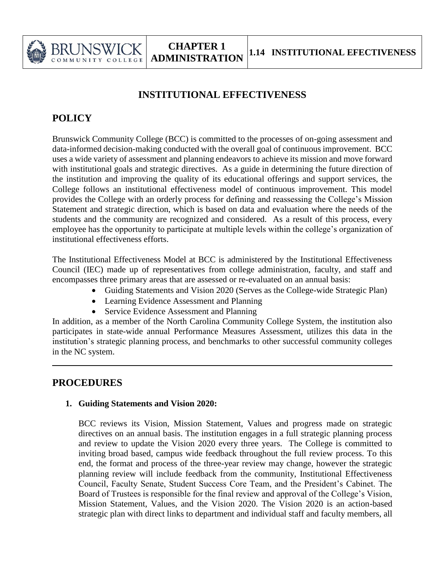

## **INSTITUTIONAL EFFECTIVENESS**

# **POLICY**

Brunswick Community College (BCC) is committed to the processes of on-going assessment and data-informed decision-making conducted with the overall goal of continuous improvement. BCC uses a wide variety of assessment and planning endeavors to achieve its mission and move forward with institutional goals and strategic directives. As a guide in determining the future direction of the institution and improving the quality of its educational offerings and support services, the College follows an institutional effectiveness model of continuous improvement. This model provides the College with an orderly process for defining and reassessing the College's Mission Statement and strategic direction, which is based on data and evaluation where the needs of the students and the community are recognized and considered. As a result of this process, every employee has the opportunity to participate at multiple levels within the college's organization of institutional effectiveness efforts.

The Institutional Effectiveness Model at BCC is administered by the Institutional Effectiveness Council (IEC) made up of representatives from college administration, faculty, and staff and encompasses three primary areas that are assessed or re-evaluated on an annual basis:

- Guiding Statements and Vision 2020 (Serves as the College-wide Strategic Plan)
- Learning Evidence Assessment and Planning
- Service Evidence Assessment and Planning

In addition, as a member of the North Carolina Community College System, the institution also participates in state-wide annual Performance Measures Assessment, utilizes this data in the institution's strategic planning process, and benchmarks to other successful community colleges in the NC system.

## **PROCEDURES**

### **1. Guiding Statements and Vision 2020:**

BCC reviews its Vision, Mission Statement, Values and progress made on strategic directives on an annual basis. The institution engages in a full strategic planning process and review to update the Vision 2020 every three years. The College is committed to inviting broad based, campus wide feedback throughout the full review process. To this end, the format and process of the three-year review may change, however the strategic planning review will include feedback from the community, Institutional Effectiveness Council, Faculty Senate, Student Success Core Team, and the President's Cabinet. The Board of Trustees is responsible for the final review and approval of the College's Vision, Mission Statement, Values, and the Vision 2020. The Vision 2020 is an action-based strategic plan with direct links to department and individual staff and faculty members, all